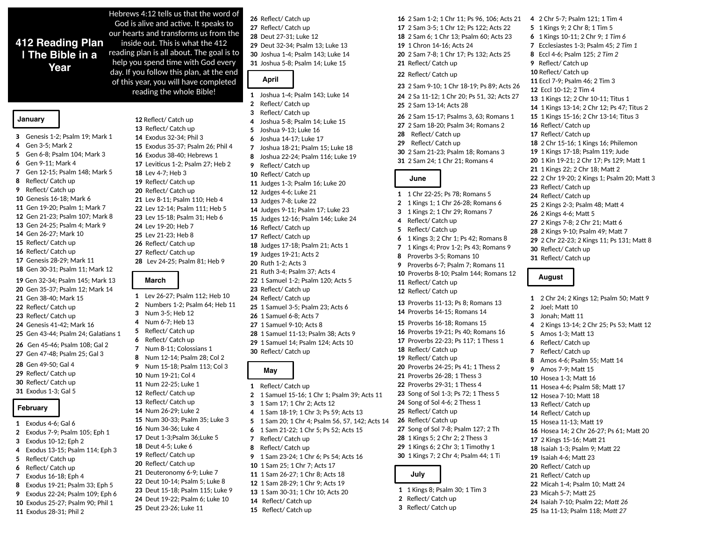# **412 Reading Plan | The Bible in a Year**

**January**

 Genesis 1-2; Psalm 19; Mark 1 Gen 3-5; Mark 2 Gen 6-8; Psalm 104; Mark 3 Gen 9-11; Mark 4 Gen 12-15; Psalm 148; Mark 5 Reflect/ Catch up Reflect/ Catch up Genesis 16-18; Mark 6 Gen 19-20; Psalm 1; Mark 7 Gen 21-23; Psalm 107; Mark 8 Gen 24-25; Psalm 4; Mark 9 Gen 26-27; Mark 10 Reflect/ Catch up Reflect/ Catch up Genesis 28-29; Mark 11 Gen 30-31; Psalm 11; Mark 12 Gen 32-34; Psalm 145; Mark 13

Gen 35-37; Psalm 12; Mark 14 Gen 38-40; Mark 15 Reflect/ Catch up Reflect/ Catch up Genesis 41-42; Mark 16 Gen 43-44; Psalm 24; Galatians 1 Gen 45-46; Psalm 108; Gal 2

Gen 47-48; Psalm 25; Gal 3 Gen 49-50; Gal 4 Reflect/ Catch up Reflect/ Catch up Exodus 1-3; Gal 5

#### **February**

- Exodus 4-6; Gal 6 Exodus 7-9; Psalm 105; Eph 1 Exodus 10-12; Eph 2 Exodus 13-15; Psalm 114; Eph 3 Reflect/ Catch up Reflect/ Catch up Exodus 16-18; Eph 4
- Exodus 19-21; Psalm 33; Eph 5
- Exodus 22-24; Psalm 109; Eph 6
- Exodus 25-27; Psalm 90; Phil 1
- Exodus 28-31; Phil 2

Hebrews 4:12 tells us that the word of God is alive and active. It speaks to our hearts and transforms us from the inside out. This is what the 412 reading plan is all about. The goal is to help you spend time with God every day. If you follow this plan, at the end of this year, you will have completed reading the whole Bible!

> Reflect/ Catch up Reflect/ Catch up Exodus 32-34; Phil 3 Exodus 35-37; Psalm 26; Phil 4 Exodus 38-40; Hebrews 1 Leviticus 1-2; Psalm 27; Heb 2 Lev 4-7; Heb 3 Reflect/ Catch up Reflect/ Catch up Lev 8-11; Psalm 110; Heb 4 Lev 12-14; Psalm 111; Heb 5 Lev 15-18; Psalm 31; Heb 6 Lev 19-20; Heb 7 Lev 21-23; Heb 8 Reflect/ Catch up Reflect/ Catch up Lev 24-25; Psalm 81; Heb 9

# **March**

Lev 26-27; Psalm 112; Heb 10 Numbers 1-2; Psalm 64; Heb 11 Num 3-5; Heb 12 Num 6-7; Heb 13 Reflect/ Catch up Reflect/ Catch up Num 8-11; Colossians 1 Num 12-14; Psalm 28; Col 2 Num 15-18; Psalm 113; Col 3 Num 19-21; Col 4 Num 22-25; Luke 1 Reflect/ Catch up Reflect/ Catch up Num 26-29; Luke 2 Num 30-33; Psalm 35; Luke 3 Num 34-36; Luke 4 Deut 1-3;Psalm 36;Luke 5 Deut 4-5; Luke 6 Reflect/ Catch up Reflect/ Catch up Deuteronomy 6-9; Luke 7 Deut 10-14; Psalm 5; Luke 8 Deut 15-18; Psalm 115; Luke 9 Deut 19-22; Psalm 6; Luke 10 Deut 23-26; Luke 11

Reflect/ Catch up Reflect/ Catch up Deut 27-31; Luke 12 Deut 32-34; Psalm 13; Luke 13 Joshua 1-4; Psalm 143; Luke 14 Joshua 5-8; Psalm 14; Luke 15

### **April**

- Joshua 1-4; Psalm 143; Luke 14
- Reflect/ Catch up
- Reflect/ Catch up
- Joshua 5-8; Psalm 14; Luke 15
- Joshua 9-13; Luke 16
- Joshua 14-17; Luke 17
- Joshua 18-21; Psalm 15; Luke 18
- Joshua 22-24; Psalm 116; Luke 19
- Reflect/ Catch up
- Reflect/ Catch up Judges 1-3; Psalm 16; Luke 20
- Judges 4-6; Luke 21
- Judges 7-8; Luke 22
- Judges 9-11; Psalm 17; Luke 23
- Judges 12-16; Psalm 146; Luke 24
- Reflect/ Catch up
- Reflect/ Catch up
- Judges 17-18; Psalm 21; Acts 1
- Judges 19-21; Acts 2
- Ruth 1-2; Acts 3
- Ruth 3-4; Psalm 37; Acts 4
- 1 Samuel 1-2; Psalm 120; Acts 5
- Reflect/ Catch up
- Reflect/ Catch up
- 1 Samuel 3-5; Psalm 23; Acts 6
- 1 Samuel 6-8; Acts 7
- 1 Samuel 9-10; Acts 8 1 Samuel 11-13; Psalm 38; Acts 9
- 1 Samuel 14; Psalm 124; Acts 10
- Reflect/ Catch up

### **May**

- Reflect/ Catch up
- 1 Samuel 15-16; 1 Chr 1; Psalm 39; Acts 11
- 1 Sam 17; 1 Chr 2; Acts 12
- 1 Sam 18-19; 1 Chr 3; Ps 59; Acts 13
- 1 Sam 20; 1 Chr 4; Psalm 56, 57, 142; Acts 14
- 1 Sam 21-22; 1 Chr 5; Ps 52; Acts 15
- Reflect/ Catch up
- Reflect/ Catch up
- 1 Sam 23-24; 1 Chr 6; Ps 54; Acts 16
- 1 Sam 25; 1 Chr 7; Acts 17
- 1 Sam 26-27; 1 Chr 8; Acts 18
- 1 Sam 28-29; 1 Chr 9; Acts 19
- 1 Sam 30-31; 1 Chr 10; Acts 20
- Reflect/ Catch up
- Reflect/ Catch up

2 Sam 1-2; 1 Chr 11; Ps 96, 106; Acts 21 2 Sam 3-5; 1 Chr 12; Ps 122; Acts 22 2 Sam 6; 1 Chr 13; Psalm 60; Acts 23 1 Chron 14-16; Acts 24 2 Sam 7-8; 1 Chr 17; Ps 132; Acts 25 Reflect/ Catch up 2 Chr 5-7; Psalm 121; 1 Tim 4

- Reflect/ Catch up
- 2 Sam 9-10; 1 Chr 18-19; Ps 89; Acts 26

2 Sa 11-12; 1 Chr 20; Ps 51, 32; Acts 27 2 Sam 13-14; Acts 28

- 2 Sam 15-17; Psalms 3, 63; Romans 1
- 2 Sam 18-20; Psalm 34; Romans 2
- Reflect/ Catch up
- Reflect/ Catch up 2 Sam 21-23; Psalm 18; Romans 3
- 2 Sam 24; 1 Chr 21; Romans 4

## **June**

- 1 Chr 22-25; Ps 78; Romans 5 1 Kings 1; 1 Chr 26-28; Romans 6
- 1 Kings 2; 1 Chr 29; Romans 7
- Reflect/ Catch up
- Reflect/ Catch up
- 1 Kings 3; 2 Chr 1; Ps 42; Romans 8
- 1 Kings 4; Prov 1-2; Ps 43; Romans 9
- Proverbs 3-5; Romans 10
- Proverbs 6-7; Psalm 7; Romans 11
- Proverbs 8-10; Psalm 144; Romans 12
- Reflect/ Catch up
- Reflect/ Catch up

Proverbs 11-13; Ps 8; Romans 13 Proverbs 14-15; Romans 14

 Proverbs 16-18; Romans 15 Proverbs 19-21; Ps 40; Romans 16 Proverbs 22-23; Ps 117; 1 Thess 1 Reflect/ Catch up Reflect/ Catch up Proverbs 24-25; Ps 41; 1 Thess 2 Proverbs 26-28; 1 Thess 3 Proverbs 29-31; 1 Thess 4 Song of Sol 1-3; Ps 72; 1 Thess 5 Song of Sol 4-6; 2 Thess 1 Reflect/ Catch up Reflect/ Catch up Song of Sol 7-8; Psalm 127; 2 Th

- 1 Kings 5; 2 Chr 2; 2 Thess 3 1 Kings 6; 2 Chr 3; 1 Timothy 1
- 1 Kings 7; 2 Chr 4; Psalm 44; 1 Ti

### **July**

- 1 Kings 8; Psalm 30; 1 Tim 3
- Reflect/ Catch up
- Reflect/ Catch up

1 Kings 9; 2 Chr 8; 1 Tim 5 1 Kings 10-11; 2 Chr 9; *1 Tim 6* Ecclesiastes 1-3; Psalm 45; *2 Tim 1* Eccl 4-6; Psalm 125; *2 Tim 2*  Reflect/ Catch up Reflect/ Catch up Eccl 7-9; Psalm 46; 2 Tim 3 Eccl 10-12; 2 Tim 4 1 Kings 12; 2 Chr 10-11; Titus 1 1 Kings 13-14; 2 Chr 12; Ps 47; Titus 2 1 Kings 15-16; 2 Chr 13-14; Titus 3 Reflect/ Catch up Reflect/ Catch up 2 Chr 15-16; 1 Kings 16; Philemon 1 Kings 17-18; Psalm 119; Jude 1 Kin 19-21; 2 Chr 17; Ps 129; Matt 1 1 Kings 22; 2 Chr 18; Matt 2 2 Chr 19-20; 2 Kings 1; Psalm 20; Matt 3 Reflect/ Catch up Reflect/ Catch up 2 Kings 2-3; Psalm 48; Matt 4 2 Kings 4-6; Matt 5 2 Kings 7-8; 2 Chr 21; Matt 6 2 Kings 9-10; Psalm 49; Matt 7 2 Chr 22-23; 2 Kings 11; Ps 131; Matt 8 Reflect/ Catch up Reflect/ Catch up

### **August**

- 2 Chr 24; 2 Kings 12; Psalm 50; Matt 9
- Joel; Matt 10
- Jonah; Matt 11
- 2 Kings 13-14; 2 Chr 25; Ps 53; Matt 12

Hosea 14; 2 Chr 26-27; Ps 61; Matt 20

- Amos 1-3; Matt 13
- Reflect/ Catch up
- Reflect/ Catch up

Hosea 1-3; Matt 16 Hosea 4-6; Psalm 58; Matt 17 Hosea 7-10; Matt 18 Reflect/ Catch up Reflect/ Catch up Hosea 11-13; Matt 19

2 Kings 15-16; Matt 21 Isaiah 1-3; Psalm 9; Matt 22 Isaiah 4-6; Matt 23 Reflect/ Catch up Reflect/ Catch up

Micah 5-7; Matt 25

Micah 1-4; Psalm 10; Matt 24

Isaiah 7-10; Psalm 22; *Matt 26* Isa 11-13; Psalm 118; *Matt 27*

Amos 4-6; Psalm 55; Matt 14 Amos 7-9; Matt 15